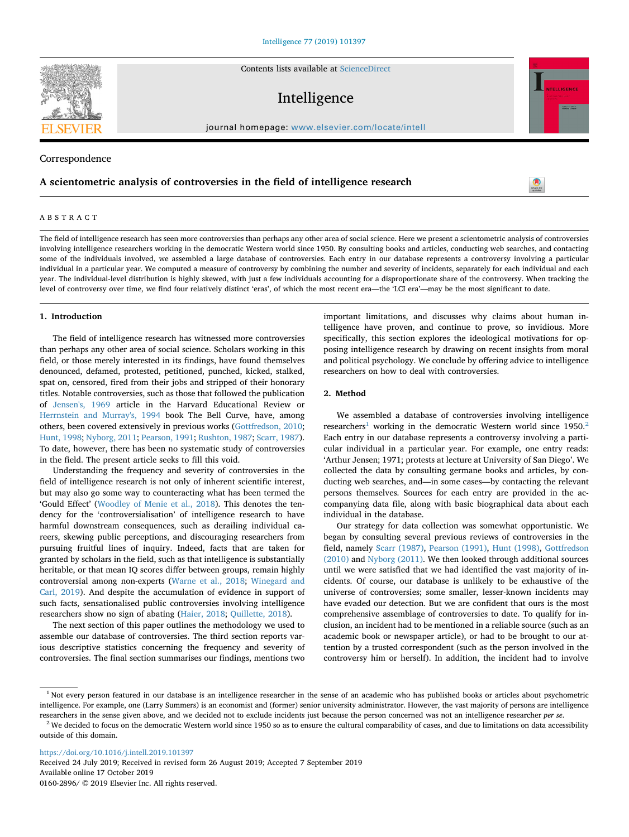Contents lists available at [ScienceDirect](http://www.sciencedirect.com/science/journal/01602896)

# Intelligence

journal homepage: [www.elsevier.com/locate/intell](https://www.elsevier.com/locate/intell)

## Correspondence

## **A scientometric analysis of controversies in the field of intelligence research**

### ABSTRACT

The field of intelligence research has seen more controversies than perhaps any other area of social science. Here we present a scientometric analysis of controversies involving intelligence researchers working in the democratic Western world since 1950. By consulting books and articles, conducting web searches, and contacting some of the individuals involved, we assembled a large database of controversies. Each entry in our database represents a controversy involving a particular individual in a particular year. We computed a measure of controversy by combining the number and severity of incidents, separately for each individual and each year. The individual-level distribution is highly skewed, with just a few individuals accounting for a disproportionate share of the controversy. When tracking the level of controversy over time, we find four relatively distinct 'eras', of which the most recent era—the 'LCI era'—may be the most significant to date.

#### **1. Introduction**

The field of intelligence research has witnessed more controversies than perhaps any other area of social science. Scholars working in this field, or those merely interested in its findings, have found themselves denounced, defamed, protested, petitioned, punched, kicked, stalked, spat on, censored, fired from their jobs and stripped of their honorary titles. Notable controversies, such as those that followed the publication of [Jensen's, 1969](#page-5-0) article in the Harvard Educational Review or [Herrnstein and Murray's, 1994](#page-5-1) book The Bell Curve, have, among others, been covered extensively in previous works ([Gottfredson, 2010](#page-5-2); [Hunt, 1998](#page-5-3); [Nyborg, 2011;](#page-5-4) [Pearson, 1991;](#page-5-5) [Rushton, 1987;](#page-5-6) [Scarr, 1987](#page-5-7)). To date, however, there has been no systematic study of controversies in the field. The present article seeks to fill this void.

Understanding the frequency and severity of controversies in the field of intelligence research is not only of inherent scientific interest, but may also go some way to counteracting what has been termed the 'Gould Effect' [\(Woodley of Menie et al., 2018\)](#page-5-8). This denotes the tendency for the 'controversialisation' of intelligence research to have harmful downstream consequences, such as derailing individual careers, skewing public perceptions, and discouraging researchers from pursuing fruitful lines of inquiry. Indeed, facts that are taken for granted by scholars in the field, such as that intelligence is substantially heritable, or that mean IQ scores differ between groups, remain highly controversial among non-experts ([Warne et al., 2018;](#page-5-9) [Winegard and](#page-5-10) [Carl, 2019\)](#page-5-10). And despite the accumulation of evidence in support of such facts, sensationalised public controversies involving intelligence researchers show no sign of abating [\(Haier, 2018](#page-5-11); [Quillette, 2018\)](#page-5-12).

The next section of this paper outlines the methodology we used to assemble our database of controversies. The third section reports various descriptive statistics concerning the frequency and severity of controversies. The final section summarises our findings, mentions two

important limitations, and discusses why claims about human intelligence have proven, and continue to prove, so invidious. More specifically, this section explores the ideological motivations for opposing intelligence research by drawing on recent insights from moral and political psychology. We conclude by offering advice to intelligence researchers on how to deal with controversies.

#### **2. Method**

We assembled a database of controversies involving intelligence researchers<sup>1</sup> working in the democratic Western world since  $1950$ .<sup>[2](#page-0-1)</sup> Each entry in our database represents a controversy involving a particular individual in a particular year. For example, one entry reads: 'Arthur Jensen; 1971; protests at lecture at University of San Diego'. We collected the data by consulting germane books and articles, by conducting web searches, and—in some cases—by contacting the relevant persons themselves. Sources for each entry are provided in the accompanying data file, along with basic biographical data about each individual in the database.

Our strategy for data collection was somewhat opportunistic. We began by consulting several previous reviews of controversies in the field, namely [Scarr \(1987\)](#page-5-7), [Pearson \(1991\)](#page-5-5), [Hunt \(1998\)](#page-5-3), [Gottfredson](#page-5-2) [\(2010\)](#page-5-2) and [Nyborg \(2011\).](#page-5-4) We then looked through additional sources until we were satisfied that we had identified the vast majority of incidents. Of course, our database is unlikely to be exhaustive of the universe of controversies; some smaller, lesser-known incidents may have evaded our detection. But we are confident that ours is the most comprehensive assemblage of controversies to date. To qualify for inclusion, an incident had to be mentioned in a reliable source (such as an academic book or newspaper article), or had to be brought to our attention by a trusted correspondent (such as the person involved in the controversy him or herself). In addition, the incident had to involve

<https://doi.org/10.1016/j.intell.2019.101397>

Received 24 July 2019; Received in revised form 26 August 2019; Accepted 7 September 2019 Available online 17 October 2019 0160-2896/ © 2019 Elsevier Inc. All rights reserved.





[T](http://crossmark.crossref.org/dialog/?doi=10.1016/j.intell.2019.101397&domain=pdf)

<span id="page-0-0"></span><sup>&</sup>lt;sup>1</sup> Not every person featured in our database is an intelligence researcher in the sense of an academic who has published books or articles about psychometric intelligence. For example, one (Larry Summers) is an economist and (former) senior university administrator. However, the vast majority of persons are intelligence researchers in the sense given above, and we decided not to exclude incidents just because the person concerned was not an intelligence researcher *per se*.

<span id="page-0-1"></span><sup>&</sup>lt;sup>2</sup> We decided to focus on the democratic Western world since 1950 so as to ensure the cultural comparability of cases, and due to limitations on data accessibility outside of this domain.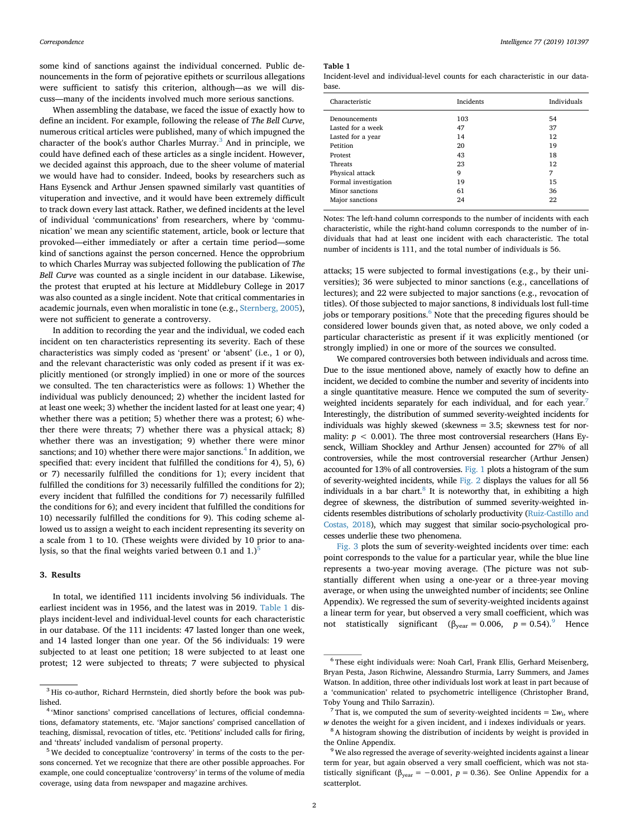some kind of sanctions against the individual concerned. Public denouncements in the form of pejorative epithets or scurrilous allegations were sufficient to satisfy this criterion, although—as we will discuss—many of the incidents involved much more serious sanctions.

When assembling the database, we faced the issue of exactly how to define an incident. For example, following the release of *The Bell Curve*, numerous critical articles were published, many of which impugned the character of the book's author Charles Murray.<sup>[3](#page-1-0)</sup> And in principle, we could have defined each of these articles as a single incident. However, we decided against this approach, due to the sheer volume of material we would have had to consider. Indeed, books by researchers such as Hans Eysenck and Arthur Jensen spawned similarly vast quantities of vituperation and invective, and it would have been extremely difficult to track down every last attack. Rather, we defined incidents at the level of individual 'communications' from researchers, where by 'communication' we mean any scientific statement, article, book or lecture that provoked—either immediately or after a certain time period—some kind of sanctions against the person concerned. Hence the opprobrium to which Charles Murray was subjected following the publication of *The Bell Curve* was counted as a single incident in our database. Likewise, the protest that erupted at his lecture at Middlebury College in 2017 was also counted as a single incident. Note that critical commentaries in academic journals, even when moralistic in tone (e.g., [Sternberg, 2005](#page-5-13)), were not sufficient to generate a controversy.

In addition to recording the year and the individual, we coded each incident on ten characteristics representing its severity. Each of these characteristics was simply coded as 'present' or 'absent' (i.e., 1 or 0), and the relevant characteristic was only coded as present if it was explicitly mentioned (or strongly implied) in one or more of the sources we consulted. The ten characteristics were as follows: 1) Whether the individual was publicly denounced; 2) whether the incident lasted for at least one week; 3) whether the incident lasted for at least one year; 4) whether there was a petition; 5) whether there was a protest; 6) whether there were threats; 7) whether there was a physical attack; 8) whether there was an investigation; 9) whether there were minor sanctions; and 10) whether there were major sanctions.<sup>[4](#page-1-1)</sup> In addition, we specified that: every incident that fulfilled the conditions for 4), 5), 6) or 7) necessarily fulfilled the conditions for 1); every incident that fulfilled the conditions for 3) necessarily fulfilled the conditions for 2); every incident that fulfilled the conditions for 7) necessarily fulfilled the conditions for 6); and every incident that fulfilled the conditions for 10) necessarily fulfilled the conditions for 9). This coding scheme allowed us to assign a weight to each incident representing its severity on a scale from 1 to 10. (These weights were divided by 10 prior to analysis, so that the final weights varied between 0.1 and  $1.$ )<sup>5</sup>

#### **3. Results**

In total, we identified 111 incidents involving 56 individuals. The earliest incident was in 1956, and the latest was in 2019. [Table 1](#page-1-3) displays incident-level and individual-level counts for each characteristic in our database. Of the 111 incidents: 47 lasted longer than one week, and 14 lasted longer than one year. Of the 56 individuals: 19 were subjected to at least one petition; 18 were subjected to at least one protest; 12 were subjected to threats; 7 were subjected to physical

#### <span id="page-1-3"></span>**Table 1**

Incident-level and individual-level counts for each characteristic in our database.

| Characteristic       | Incidents | Individuals |
|----------------------|-----------|-------------|
| Denouncements        | 103       | 54          |
| Lasted for a week    | 47        | 37          |
| Lasted for a year    | 14        | 12          |
| Petition             | 20        | 19          |
| Protest              | 43        | 18          |
| Threats              | 23        | 12          |
| Physical attack      | 9         | 7           |
| Formal investigation | 19        | 15          |
| Minor sanctions      | 61        | 36          |
| Major sanctions      | 24        | 22          |

Notes: The left-hand column corresponds to the number of incidents with each characteristic, while the right-hand column corresponds to the number of individuals that had at least one incident with each characteristic. The total number of incidents is 111, and the total number of individuals is 56.

attacks; 15 were subjected to formal investigations (e.g., by their universities); 36 were subjected to minor sanctions (e.g., cancellations of lectures); and 22 were subjected to major sanctions (e.g., revocation of titles). Of those subjected to major sanctions, 8 individuals lost full-time jobs or temporary positions.<sup>[6](#page-1-4)</sup> Note that the preceding figures should be considered lower bounds given that, as noted above, we only coded a particular characteristic as present if it was explicitly mentioned (or strongly implied) in one or more of the sources we consulted.

We compared controversies both between individuals and across time. Due to the issue mentioned above, namely of exactly how to define an incident, we decided to combine the number and severity of incidents into a single quantitative measure. Hence we computed the sum of severityweighted incidents separately for each individual, and for each year.<sup>7</sup> Interestingly, the distribution of summed severity-weighted incidents for individuals was highly skewed (skewness = 3.5; skewness test for normality:  $p < 0.001$ ). The three most controversial researchers (Hans Eysenck, William Shockley and Arthur Jensen) accounted for 27% of all controversies, while the most controversial researcher (Arthur Jensen) accounted for 13% of all controversies. [Fig. 1](#page-2-0) plots a histogram of the sum of severity-weighted incidents, while [Fig. 2](#page-2-1) displays the values for all 56 individuals in a bar chart. $8$  It is noteworthy that, in exhibiting a high degree of skewness, the distribution of summed severity-weighted incidents resembles distributions of scholarly productivity [\(Ruiz-Castillo and](#page-5-14) [Costas, 2018](#page-5-14)), which may suggest that similar socio-psychological processes underlie these two phenomena.

[Fig. 3](#page-3-0) plots the sum of severity-weighted incidents over time: each point corresponds to the value for a particular year, while the blue line represents a two-year moving average. (The picture was not substantially different when using a one-year or a three-year moving average, or when using the unweighted number of incidents; see Online Appendix). We regressed the sum of severity-weighted incidents against a linear term for year, but observed a very small coefficient, which was not statistically significant ( $β_{year} = 0.006$ ,  $p = 0.54$ ).<sup>[9](#page-1-7)</sup> Hence

<span id="page-1-0"></span><sup>&</sup>lt;sup>3</sup> His co-author, Richard Herrnstein, died shortly before the book was published.

<span id="page-1-1"></span><sup>&</sup>lt;sup>4</sup> 'Minor sanctions' comprised cancellations of lectures, official condemnations, defamatory statements, etc. 'Major sanctions' comprised cancellation of teaching, dismissal, revocation of titles, etc. 'Petitions' included calls for firing, and 'threats' included vandalism of personal property.

<span id="page-1-2"></span><sup>5</sup> We decided to conceptualize 'controversy' in terms of the costs to the persons concerned. Yet we recognize that there are other possible approaches. For example, one could conceptualize 'controversy' in terms of the volume of media coverage, using data from newspaper and magazine archives.

<span id="page-1-4"></span><sup>6</sup> These eight individuals were: Noah Carl, Frank Ellis, Gerhard Meisenberg, Bryan Pesta, Jason Richwine, Alessandro Sturmia, Larry Summers, and James Watson. In addition, three other individuals lost work at least in part because of a 'communication' related to psychometric intelligence (Christopher Brand, Toby Young and Thilo Sarrazin).

<span id="page-1-5"></span><sup>&</sup>lt;sup>7</sup> That is, we computed the sum of severity-weighted incidents =  $\Sigma w_i$ , where *w* denotes the weight for a given incident, and i indexes individuals or years.

<span id="page-1-6"></span><sup>&</sup>lt;sup>8</sup> A histogram showing the distribution of incidents by weight is provided in the Online Appendix.

<span id="page-1-7"></span><sup>&</sup>lt;sup>9</sup> We also regressed the average of severity-weighted incidents against a linear term for year, but again observed a very small coefficient, which was not statistically significant ( $\beta_{\text{year}} = -0.001$ ,  $p = 0.36$ ). See Online Appendix for a scatterplot.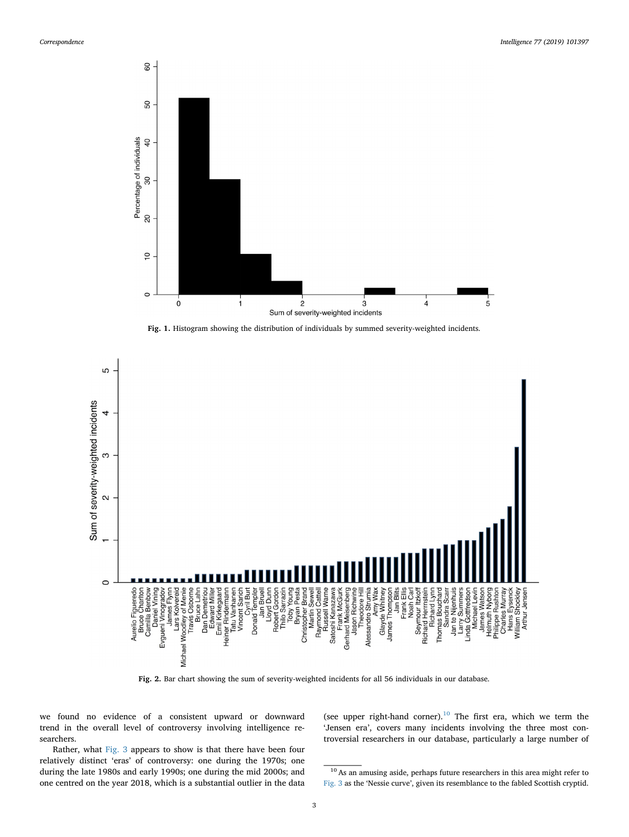<span id="page-2-0"></span>

**Fig. 1.** Histogram showing the distribution of individuals by summed severity-weighted incidents.

<span id="page-2-1"></span>

we found no evidence of a consistent upward or downward trend in the overall level of controversy involving intelligence researchers.

(see upper right-hand corner).<sup>[10](#page-2-2)</sup> The first era, which we term the 'Jensen era', covers many incidents involving the three most controversial researchers in our database, particularly a large number of

Rather, what [Fig. 3](#page-3-0) appears to show is that there have been four relatively distinct 'eras' of controversy: one during the 1970s; one during the late 1980s and early 1990s; one during the mid 2000s; and one centred on the year 2018, which is a substantial outlier in the data

<span id="page-2-2"></span> $10$  As an amusing aside, perhaps future researchers in this area might refer to [Fig. 3](#page-3-0) as the 'Nessie curve', given its resemblance to the fabled Scottish cryptid.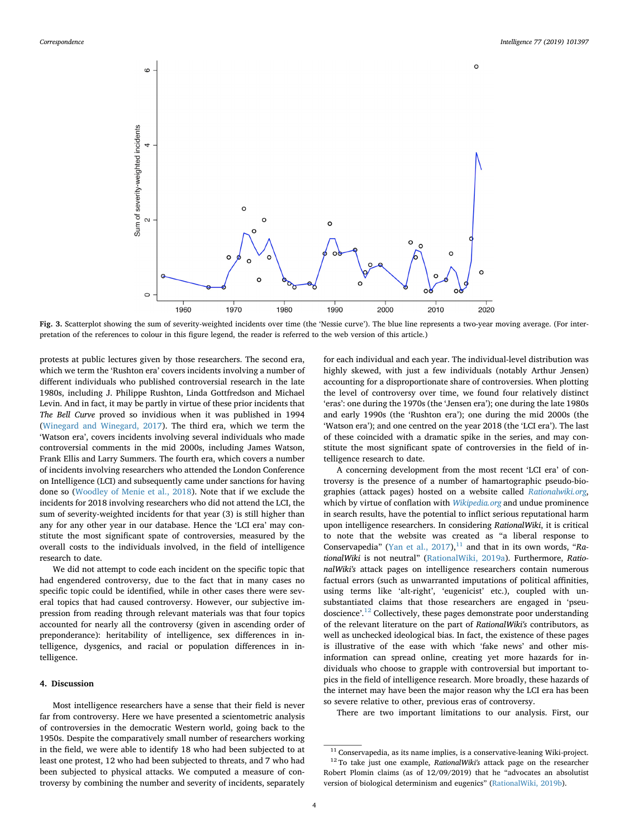<span id="page-3-0"></span>

**Fig. 3.** Scatterplot showing the sum of severity-weighted incidents over time (the 'Nessie curve'). The blue line represents a two-year moving average. (For interpretation of the references to colour in this figure legend, the reader is referred to the web version of this article.)

protests at public lectures given by those researchers. The second era, which we term the 'Rushton era' covers incidents involving a number of different individuals who published controversial research in the late 1980s, including J. Philippe Rushton, Linda Gottfredson and Michael Levin. And in fact, it may be partly in virtue of these prior incidents that *The Bell Curve* proved so invidious when it was published in 1994 ([Winegard and Winegard, 2017\)](#page-5-15). The third era, which we term the 'Watson era', covers incidents involving several individuals who made controversial comments in the mid 2000s, including James Watson, Frank Ellis and Larry Summers. The fourth era, which covers a number of incidents involving researchers who attended the London Conference on Intelligence (LCI) and subsequently came under sanctions for having done so [\(Woodley of Menie et al., 2018](#page-5-8)). Note that if we exclude the incidents for 2018 involving researchers who did not attend the LCI, the sum of severity-weighted incidents for that year (3) is still higher than any for any other year in our database. Hence the 'LCI era' may constitute the most significant spate of controversies, measured by the overall costs to the individuals involved, in the field of intelligence research to date.

We did not attempt to code each incident on the specific topic that had engendered controversy, due to the fact that in many cases no specific topic could be identified, while in other cases there were several topics that had caused controversy. However, our subjective impression from reading through relevant materials was that four topics accounted for nearly all the controversy (given in ascending order of preponderance): heritability of intelligence, sex differences in intelligence, dysgenics, and racial or population differences in intelligence.

#### **4. Discussion**

Most intelligence researchers have a sense that their field is never far from controversy. Here we have presented a scientometric analysis of controversies in the democratic Western world, going back to the 1950s. Despite the comparatively small number of researchers working in the field, we were able to identify 18 who had been subjected to at least one protest, 12 who had been subjected to threats, and 7 who had been subjected to physical attacks. We computed a measure of controversy by combining the number and severity of incidents, separately for each individual and each year. The individual-level distribution was highly skewed, with just a few individuals (notably Arthur Jensen) accounting for a disproportionate share of controversies. When plotting the level of controversy over time, we found four relatively distinct 'eras': one during the 1970s (the 'Jensen era'); one during the late 1980s and early 1990s (the 'Rushton era'); one during the mid 2000s (the 'Watson era'); and one centred on the year 2018 (the 'LCI era'). The last of these coincided with a dramatic spike in the series, and may constitute the most significant spate of controversies in the field of intelligence research to date.

A concerning development from the most recent 'LCI era' of controversy is the presence of a number of hamartographic pseudo-biographies (attack pages) hosted on a website called *[Rationalwiki.org](http://Rationalwiki.org)*, which by virtue of conflation with *[Wikipedia.org](http://Wikipedia.org)* and undue prominence in search results, have the potential to inflict serious reputational harm upon intelligence researchers. In considering *RationalWiki*, it is critical to note that the website was created as "a liberal response to Conservapedia" [\(Yan et al., 2017\)](#page-5-16),<sup>[11](#page-3-1)</sup> and that in its own words, "Ra*tionalWiki* is not neutral" [\(RationalWiki, 2019a](#page-5-17)). Furthermore, *RationalWiki's* attack pages on intelligence researchers contain numerous factual errors (such as unwarranted imputations of political affinities, using terms like 'alt-right', 'eugenicist' etc.), coupled with unsubstantiated claims that those researchers are engaged in 'pseu-doscience'.<sup>[12](#page-3-2)</sup> Collectively, these pages demonstrate poor understanding of the relevant literature on the part of *RationalWiki's* contributors, as well as unchecked ideological bias. In fact, the existence of these pages is illustrative of the ease with which 'fake news' and other misinformation can spread online, creating yet more hazards for individuals who choose to grapple with controversial but important topics in the field of intelligence research. More broadly, these hazards of the internet may have been the major reason why the LCI era has been so severe relative to other, previous eras of controversy.

There are two important limitations to our analysis. First, our

<span id="page-3-2"></span><span id="page-3-1"></span> $^{\rm 11}$  Conservapedia, as its name implies, is a conservative-leaning Wiki-project. <sup>12</sup> To take just one example, *RationalWiki's* attack page on the researcher Robert Plomin claims (as of 12/09/2019) that he "advocates an absolutist version of biological determinism and eugenics" [\(RationalWiki, 2019b](#page-5-18)).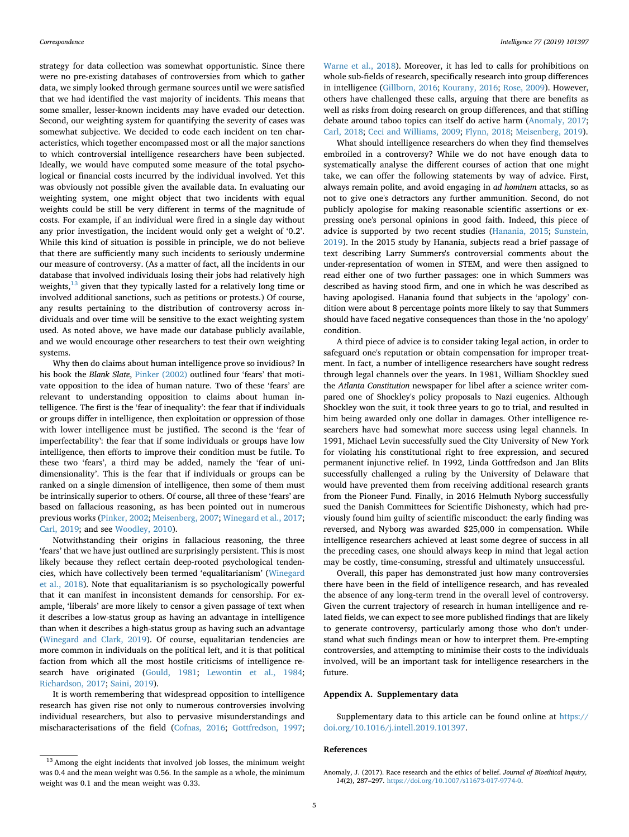strategy for data collection was somewhat opportunistic. Since there were no pre-existing databases of controversies from which to gather data, we simply looked through germane sources until we were satisfied that we had identified the vast majority of incidents. This means that some smaller, lesser-known incidents may have evaded our detection. Second, our weighting system for quantifying the severity of cases was somewhat subjective. We decided to code each incident on ten characteristics, which together encompassed most or all the major sanctions to which controversial intelligence researchers have been subjected. Ideally, we would have computed some measure of the total psychological or financial costs incurred by the individual involved. Yet this was obviously not possible given the available data. In evaluating our weighting system, one might object that two incidents with equal weights could be still be very different in terms of the magnitude of costs. For example, if an individual were fired in a single day without any prior investigation, the incident would only get a weight of '0.2'. While this kind of situation is possible in principle, we do not believe that there are sufficiently many such incidents to seriously undermine our measure of controversy. (As a matter of fact, all the incidents in our database that involved individuals losing their jobs had relatively high weights, $13$  given that they typically lasted for a relatively long time or involved additional sanctions, such as petitions or protests.) Of course, any results pertaining to the distribution of controversy across individuals and over time will be sensitive to the exact weighting system used. As noted above, we have made our database publicly available, and we would encourage other researchers to test their own weighting systems.

Why then do claims about human intelligence prove so invidious? In his book the *Blank Slate*, [Pinker \(2002\)](#page-5-19) outlined four 'fears' that motivate opposition to the idea of human nature. Two of these 'fears' are relevant to understanding opposition to claims about human intelligence. The first is the 'fear of inequality': the fear that if individuals or groups differ in intelligence, then exploitation or oppression of those with lower intelligence must be justified. The second is the 'fear of imperfectability': the fear that if some individuals or groups have low intelligence, then efforts to improve their condition must be futile. To these two 'fears', a third may be added, namely the 'fear of unidimensionality'. This is the fear that if individuals or groups can be ranked on a single dimension of intelligence, then some of them must be intrinsically superior to others. Of course, all three of these 'fears' are based on fallacious reasoning, as has been pointed out in numerous previous works ([Pinker, 2002](#page-5-19); [Meisenberg, 2007](#page-5-20); [Winegard et al., 2017](#page-5-21); [Carl, 2019;](#page-5-22) and see [Woodley, 2010](#page-5-23)).

Notwithstanding their origins in fallacious reasoning, the three 'fears' that we have just outlined are surprisingly persistent. This is most likely because they reflect certain deep-rooted psychological tendencies, which have collectively been termed 'equalitarianism' ([Winegard](#page-5-24) [et al., 2018\)](#page-5-24). Note that equalitarianism is so psychologically powerful that it can manifest in inconsistent demands for censorship. For example, 'liberals' are more likely to censor a given passage of text when it describes a low-status group as having an advantage in intelligence than when it describes a high-status group as having such an advantage ([Winegard and Clark, 2019\)](#page-5-25). Of course, equalitarian tendencies are more common in individuals on the political left, and it is that political faction from which all the most hostile criticisms of intelligence research have originated ([Gould, 1981;](#page-5-26) [Lewontin et al., 1984](#page-5-27); [Richardson, 2017](#page-5-28); [Saini, 2019](#page-5-29)).

It is worth remembering that widespread opposition to intelligence research has given rise not only to numerous controversies involving individual researchers, but also to pervasive misunderstandings and mischaracterisations of the field ([Cofnas, 2016](#page-5-30); [Gottfredson, 1997](#page-5-31);

[Warne et al., 2018\)](#page-5-9). Moreover, it has led to calls for prohibitions on whole sub-fields of research, specifically research into group differences in intelligence ([Gillborn, 2016](#page-5-32); [Kourany, 2016;](#page-5-33) [Rose, 2009\)](#page-5-34). However, others have challenged these calls, arguing that there are benefits as well as risks from doing research on group differences, and that stifling debate around taboo topics can itself do active harm ([Anomaly, 2017](#page-4-1); [Carl, 2018;](#page-5-35) [Ceci and Williams, 2009](#page-5-36); [Flynn, 2018;](#page-5-37) [Meisenberg, 2019\)](#page-5-38).

What should intelligence researchers do when they find themselves embroiled in a controversy? While we do not have enough data to systematically analyse the different courses of action that one might take, we can offer the following statements by way of advice. First, always remain polite, and avoid engaging in *ad hominem* attacks, so as not to give one's detractors any further ammunition. Second, do not publicly apologise for making reasonable scientific assertions or expressing one's personal opinions in good faith. Indeed, this piece of advice is supported by two recent studies [\(Hanania, 2015;](#page-5-39) [Sunstein,](#page-5-40) [2019\)](#page-5-40). In the 2015 study by Hanania, subjects read a brief passage of text describing Larry Summers's controversial comments about the under-representation of women in STEM, and were then assigned to read either one of two further passages: one in which Summers was described as having stood firm, and one in which he was described as having apologised. Hanania found that subjects in the 'apology' condition were about 8 percentage points more likely to say that Summers should have faced negative consequences than those in the 'no apology' condition.

A third piece of advice is to consider taking legal action, in order to safeguard one's reputation or obtain compensation for improper treatment. In fact, a number of intelligence researchers have sought redress through legal channels over the years. In 1981, William Shockley sued the *Atlanta Constitution* newspaper for libel after a science writer compared one of Shockley's policy proposals to Nazi eugenics. Although Shockley won the suit, it took three years to go to trial, and resulted in him being awarded only one dollar in damages. Other intelligence researchers have had somewhat more success using legal channels. In 1991, Michael Levin successfully sued the City University of New York for violating his constitutional right to free expression, and secured permanent injunctive relief. In 1992, Linda Gottfredson and Jan Blits successfully challenged a ruling by the University of Delaware that would have prevented them from receiving additional research grants from the Pioneer Fund. Finally, in 2016 Helmuth Nyborg successfully sued the Danish Committees for Scientific Dishonesty, which had previously found him guilty of scientific misconduct: the early finding was reversed, and Nyborg was awarded \$25,000 in compensation. While intelligence researchers achieved at least some degree of success in all the preceding cases, one should always keep in mind that legal action may be costly, time-consuming, stressful and ultimately unsuccessful.

Overall, this paper has demonstrated just how many controversies there have been in the field of intelligence research, and has revealed the absence of any long-term trend in the overall level of controversy. Given the current trajectory of research in human intelligence and related fields, we can expect to see more published findings that are likely to generate controversy, particularly among those who don't understand what such findings mean or how to interpret them. Pre-empting controversies, and attempting to minimise their costs to the individuals involved, will be an important task for intelligence researchers in the future.

### **Appendix A. Supplementary data**

Supplementary data to this article can be found online at [https://](https://doi.org/10.1016/j.intell.2019.101397) [doi.org/10.1016/j.intell.2019.101397.](https://doi.org/10.1016/j.intell.2019.101397)

#### **References**

<span id="page-4-0"></span><sup>&</sup>lt;sup>13</sup> Among the eight incidents that involved job losses, the minimum weight was 0.4 and the mean weight was 0.56. In the sample as a whole, the minimum weight was 0.1 and the mean weight was 0.33.

<span id="page-4-1"></span>Anomaly, J. (2017). Race research and the ethics of belief. *Journal of Bioethical Inquiry, 14*(2), 287–297. [https://doi.org/10.1007/s11673-017-9774-0.](https://doi.org/10.1007/s11673-017-9774-0)